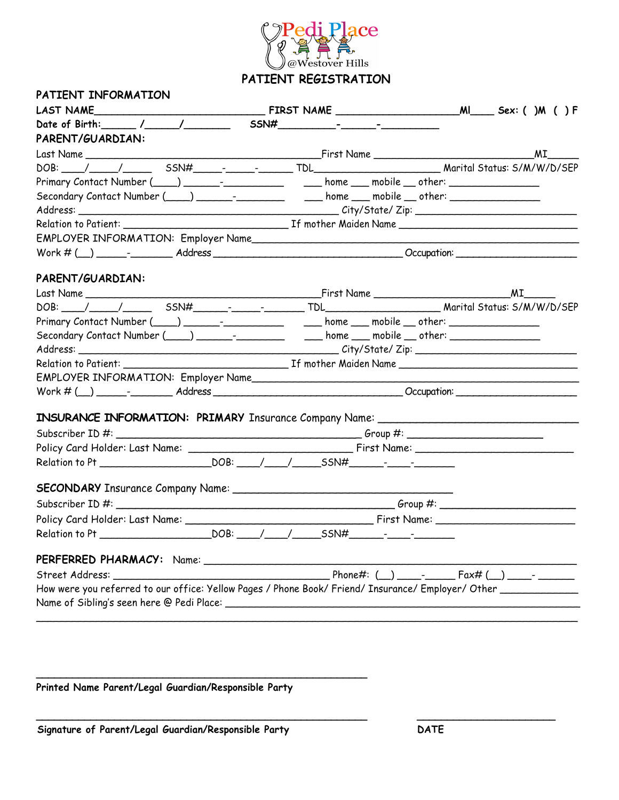

| PATIENT INFORMATION |                                                                                                                |  |
|---------------------|----------------------------------------------------------------------------------------------------------------|--|
|                     |                                                                                                                |  |
|                     |                                                                                                                |  |
| PARENT/GUARDIAN:    |                                                                                                                |  |
|                     |                                                                                                                |  |
|                     | DOB: / / / / / SSN# _ _ - _ _ _ TDL TDL TDL Marital Status: S/M/W/D/SEP                                        |  |
|                     | Primary Contact Number (____) _______-_________________ home ____ mobile ___ other: ________________           |  |
|                     | Secondary Contact Number (____) _______-___________ _____ home ____ mobile ___ other: _____________            |  |
|                     |                                                                                                                |  |
|                     |                                                                                                                |  |
|                     |                                                                                                                |  |
|                     |                                                                                                                |  |
|                     |                                                                                                                |  |
| PARENT/GUARDIAN:    |                                                                                                                |  |
|                     |                                                                                                                |  |
|                     |                                                                                                                |  |
|                     | Primary Contact Number (____) _______-________________ home ____ mobile ___ other: ________________            |  |
|                     | Secondary Contact Number (____) _______-___________ ____ home ___ mobile __ other: ________________            |  |
|                     |                                                                                                                |  |
|                     |                                                                                                                |  |
|                     |                                                                                                                |  |
|                     |                                                                                                                |  |
|                     | INSURANCE INFORMATION: PRIMARY Insurance Company Name: __________________________                              |  |
|                     |                                                                                                                |  |
|                     |                                                                                                                |  |
|                     |                                                                                                                |  |
|                     |                                                                                                                |  |
|                     |                                                                                                                |  |
|                     |                                                                                                                |  |
|                     |                                                                                                                |  |
|                     |                                                                                                                |  |
|                     |                                                                                                                |  |
|                     |                                                                                                                |  |
|                     |                                                                                                                |  |
|                     | How were you referred to our office: Yellow Pages / Phone Book/ Friend/ Insurance/ Employer/ Other ___________ |  |
|                     |                                                                                                                |  |
|                     |                                                                                                                |  |

**\_\_\_\_\_\_\_\_\_\_\_\_\_\_\_\_\_\_\_\_\_\_\_\_\_\_\_\_\_\_\_\_\_\_\_\_\_\_\_\_\_\_\_\_\_\_\_\_\_\_\_\_\_\_\_ \_\_\_\_\_\_\_\_\_\_\_\_\_\_\_\_\_\_\_\_\_\_\_**

**Printed Name Parent/Legal Guardian/Responsible Party** 

**\_\_\_\_\_\_\_\_\_\_\_\_\_\_\_\_\_\_\_\_\_\_\_\_\_\_\_\_\_\_\_\_\_\_\_\_\_\_\_\_\_\_\_\_\_\_\_\_\_\_\_\_\_\_\_**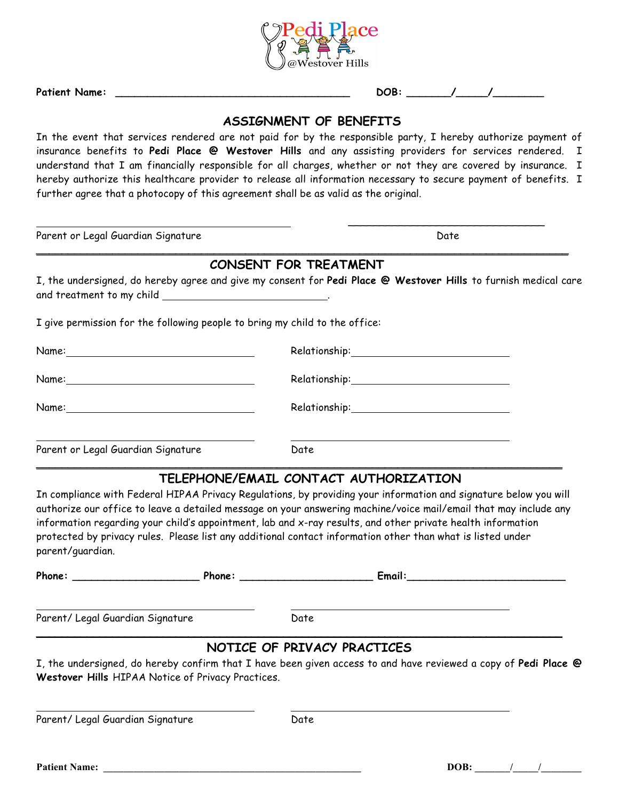

**Patient Name: \_\_\_\_\_\_\_\_\_\_\_\_\_\_\_\_\_\_\_\_\_\_\_\_\_\_\_\_\_\_\_\_\_\_\_\_\_ DOB: \_\_\_\_\_\_\_/\_\_\_\_\_/\_\_\_\_\_\_\_\_**

## **ASSIGNMENT OF BENEFITS**

In the event that services rendered are not paid for by the responsible party, I hereby authorize payment of insurance benefits to **Pedi Place @ Westover Hills** and any assisting providers for services rendered. I understand that I am financially responsible for all charges, whether or not they are covered by insurance. I hereby authorize this healthcare provider to release all information necessary to secure payment of benefits. I further agree that a photocopy of this agreement shall be as valid as the original.

Parent or Legal Guardian Signature Date by a state of the Date of the Date of the Date of the Date of the Date

 $\overline{\phantom{a}}$  , and the contract of the contract of the contract of the contract of the contract of the contract of the contract of the contract of the contract of the contract of the contract of the contract of the contrac

## **CONSENT FOR TREATMENT**

**\_\_\_\_\_\_\_\_\_\_\_\_\_\_\_\_\_\_\_\_\_\_\_\_\_\_\_\_\_\_\_\_\_\_\_\_\_\_\_\_\_\_\_\_\_\_\_\_\_\_\_\_\_\_\_\_\_\_\_\_\_\_\_\_\_\_\_\_\_\_\_\_\_\_\_\_\_\_\_\_\_\_\_\_** 

I, the undersigned, do hereby agree and give my consent for **Pedi Place @ Westover Hills** to furnish medical care and treatment to my child **with the control of the control of the control of the control of the control of the control of the control of the control of the control of the control of the control of the control of the contro** 

I give permission for the following people to bring my child to the office:

| Name: 2008 - 2008 - 2010 - 2010 - 2010 - 2010 - 2010 - 2010 - 2010 - 2010 - 2010 - 2010 - 2010 - 2010 - 2010 - |      |
|----------------------------------------------------------------------------------------------------------------|------|
| Name:                                                                                                          |      |
| Parent or Legal Guardian Signature                                                                             | Date |

## **TELEPHONE/EMAIL CONTACT AUTHORIZATION**

In compliance with Federal HIPAA Privacy Regulations, by providing your information and signature below you will authorize our office to leave a detailed message on your answering machine/voice mail/email that may include any information regarding your child's appointment, lab and x-ray results, and other private health information protected by privacy rules. Please list any additional contact information other than what is listed under parent/guardian.

**\_\_\_\_\_\_\_\_\_\_\_\_\_\_\_\_\_\_\_\_\_\_\_\_\_\_\_\_\_\_\_\_\_\_\_\_\_\_\_\_\_\_\_\_\_\_\_\_\_\_\_\_\_\_\_\_\_\_\_\_\_\_\_\_\_\_\_\_\_\_\_\_\_\_\_\_\_\_\_\_\_\_\_** 

| Phone: _______________________                                                                                  |                             |      | <b>Email:</b> Email: |  |
|-----------------------------------------------------------------------------------------------------------------|-----------------------------|------|----------------------|--|
| Parent/ Legal Guardian Signature                                                                                |                             | Date |                      |  |
|                                                                                                                 | NOTICE OF PRIVACY PRACTICES |      |                      |  |
| I, the undersigned, do hereby confirm that I have been given access to and have reviewed a copy of Pedi Place @ |                             |      |                      |  |
| Westover Hills HIPAA Notice of Privacy Practices.                                                               |                             |      |                      |  |
|                                                                                                                 |                             |      |                      |  |
| Parent/ Legal Guardian Signature                                                                                |                             | Date |                      |  |

**Patient Name: \_\_\_\_\_\_\_\_\_\_\_\_\_\_\_\_\_\_\_\_\_\_\_\_\_\_\_\_\_\_\_\_\_\_\_\_\_\_\_\_\_\_\_\_\_\_\_\_\_\_\_ DOB: \_\_\_\_\_\_\_/\_\_\_\_\_/\_\_\_\_\_\_\_\_**